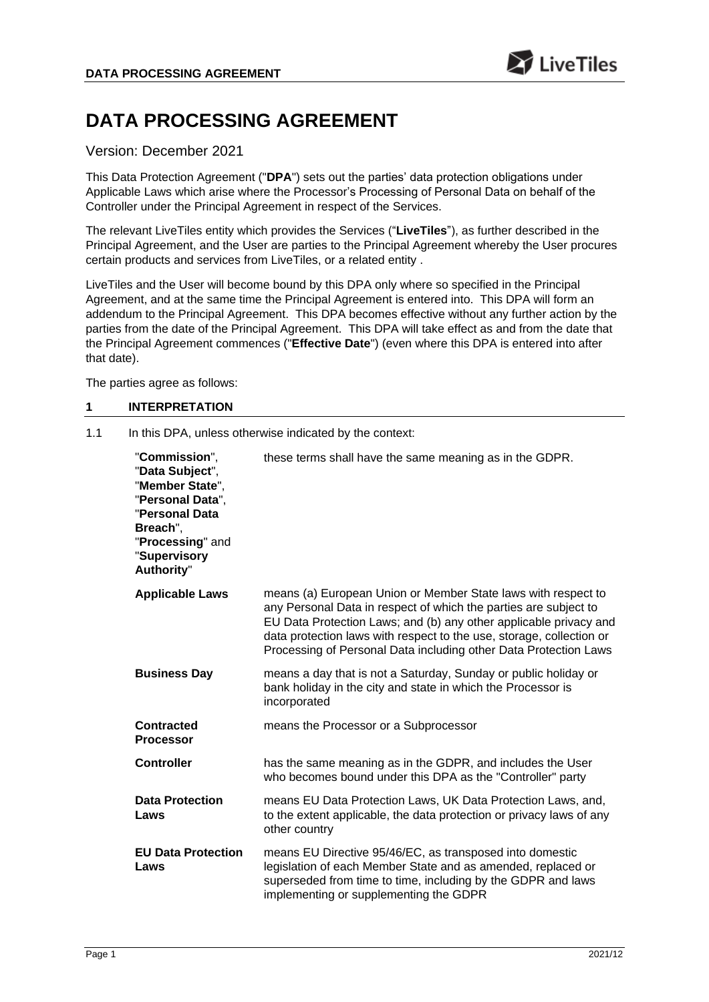# **DATA PROCESSING AGREEMENT**

# Version: December 2021

This Data Protection Agreement ("**DPA**") sets out the parties' data protection obligations under Applicable Laws which arise where the Processor's Processing of Personal Data on behalf of the Controller under the Principal Agreement in respect of the Services.

The relevant LiveTiles entity which provides the Services ("**LiveTiles**"), as further described in the Principal Agreement, and the User are parties to the Principal Agreement whereby the User procures certain products and services from LiveTiles, or a related entity .

LiveTiles and the User will become bound by this DPA only where so specified in the Principal Agreement, and at the same time the Principal Agreement is entered into. This DPA will form an addendum to the Principal Agreement. This DPA becomes effective without any further action by the parties from the date of the Principal Agreement. This DPA will take effect as and from the date that the Principal Agreement commences ("**Effective Date**") (even where this DPA is entered into after that date).

The parties agree as follows:

## **1 INTERPRETATION**

1.1 In this DPA, unless otherwise indicated by the context:

| "Commission",<br>"Data Subject",<br>"Member State",<br>"Personal Data",<br>"Personal Data<br>Breach",<br>"Processing" and<br>"Supervisory<br>Authority" | these terms shall have the same meaning as in the GDPR.                                                                                                                                                                                                                                                                                            |
|---------------------------------------------------------------------------------------------------------------------------------------------------------|----------------------------------------------------------------------------------------------------------------------------------------------------------------------------------------------------------------------------------------------------------------------------------------------------------------------------------------------------|
| <b>Applicable Laws</b>                                                                                                                                  | means (a) European Union or Member State laws with respect to<br>any Personal Data in respect of which the parties are subject to<br>EU Data Protection Laws; and (b) any other applicable privacy and<br>data protection laws with respect to the use, storage, collection or<br>Processing of Personal Data including other Data Protection Laws |
| <b>Business Day</b>                                                                                                                                     | means a day that is not a Saturday, Sunday or public holiday or<br>bank holiday in the city and state in which the Processor is<br>incorporated                                                                                                                                                                                                    |
| <b>Contracted</b><br><b>Processor</b>                                                                                                                   | means the Processor or a Subprocessor                                                                                                                                                                                                                                                                                                              |
| <b>Controller</b>                                                                                                                                       | has the same meaning as in the GDPR, and includes the User<br>who becomes bound under this DPA as the "Controller" party                                                                                                                                                                                                                           |
| <b>Data Protection</b><br>Laws                                                                                                                          | means EU Data Protection Laws, UK Data Protection Laws, and,<br>to the extent applicable, the data protection or privacy laws of any<br>other country                                                                                                                                                                                              |
| <b>EU Data Protection</b><br>Laws                                                                                                                       | means EU Directive 95/46/EC, as transposed into domestic<br>legislation of each Member State and as amended, replaced or<br>superseded from time to time, including by the GDPR and laws<br>implementing or supplementing the GDPR                                                                                                                 |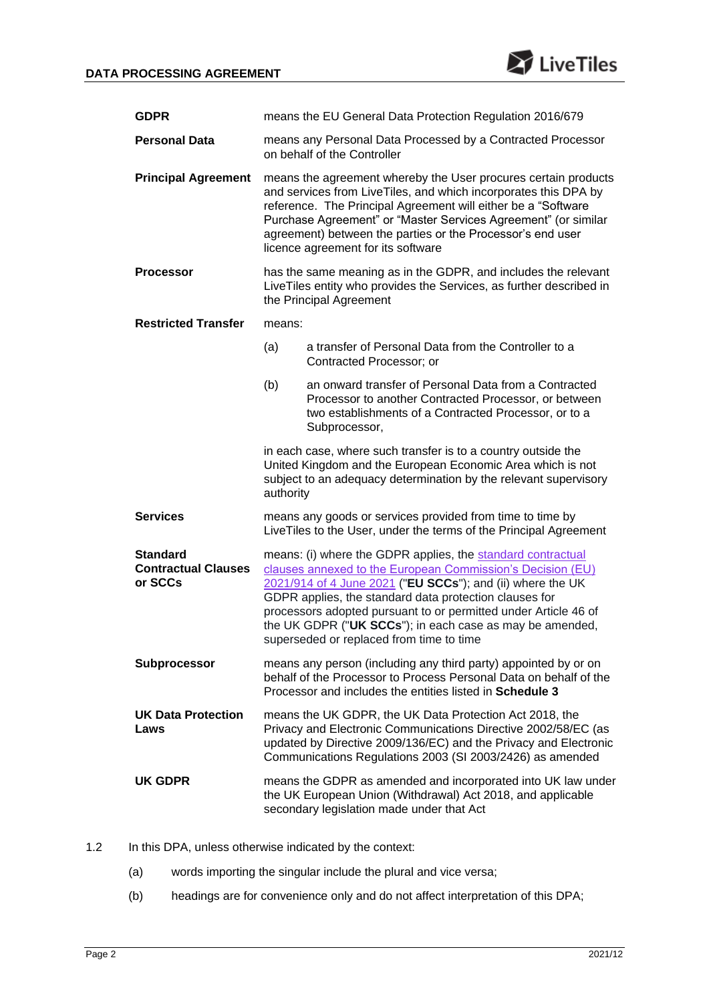

| <b>GDPR</b>                                              | means the EU General Data Protection Regulation 2016/679                                                                                                                                                                                                                                                                                                                                                                     |                                                                                                                                                                                          |  |  |
|----------------------------------------------------------|------------------------------------------------------------------------------------------------------------------------------------------------------------------------------------------------------------------------------------------------------------------------------------------------------------------------------------------------------------------------------------------------------------------------------|------------------------------------------------------------------------------------------------------------------------------------------------------------------------------------------|--|--|
| <b>Personal Data</b>                                     | means any Personal Data Processed by a Contracted Processor<br>on behalf of the Controller                                                                                                                                                                                                                                                                                                                                   |                                                                                                                                                                                          |  |  |
| <b>Principal Agreement</b>                               | means the agreement whereby the User procures certain products<br>and services from LiveTiles, and which incorporates this DPA by<br>reference. The Principal Agreement will either be a "Software<br>Purchase Agreement" or "Master Services Agreement" (or similar<br>agreement) between the parties or the Processor's end user<br>licence agreement for its software                                                     |                                                                                                                                                                                          |  |  |
| <b>Processor</b>                                         | has the same meaning as in the GDPR, and includes the relevant<br>LiveTiles entity who provides the Services, as further described in<br>the Principal Agreement                                                                                                                                                                                                                                                             |                                                                                                                                                                                          |  |  |
| <b>Restricted Transfer</b>                               | means:                                                                                                                                                                                                                                                                                                                                                                                                                       |                                                                                                                                                                                          |  |  |
|                                                          | (a)                                                                                                                                                                                                                                                                                                                                                                                                                          | a transfer of Personal Data from the Controller to a<br>Contracted Processor; or                                                                                                         |  |  |
|                                                          | (b)                                                                                                                                                                                                                                                                                                                                                                                                                          | an onward transfer of Personal Data from a Contracted<br>Processor to another Contracted Processor, or between<br>two establishments of a Contracted Processor, or to a<br>Subprocessor, |  |  |
|                                                          | in each case, where such transfer is to a country outside the<br>United Kingdom and the European Economic Area which is not<br>subject to an adequacy determination by the relevant supervisory<br>authority                                                                                                                                                                                                                 |                                                                                                                                                                                          |  |  |
| <b>Services</b>                                          | means any goods or services provided from time to time by<br>LiveTiles to the User, under the terms of the Principal Agreement                                                                                                                                                                                                                                                                                               |                                                                                                                                                                                          |  |  |
| <b>Standard</b><br><b>Contractual Clauses</b><br>or SCCs | means: (i) where the GDPR applies, the standard contractual<br>clauses annexed to the European Commission's Decision (EU)<br>2021/914 of 4 June 2021 ("EU SCCs"); and (ii) where the UK<br>GDPR applies, the standard data protection clauses for<br>processors adopted pursuant to or permitted under Article 46 of<br>the UK GDPR ("UK SCCs"); in each case as may be amended,<br>superseded or replaced from time to time |                                                                                                                                                                                          |  |  |
| <b>Subprocessor</b>                                      | means any person (including any third party) appointed by or on<br>behalf of the Processor to Process Personal Data on behalf of the<br>Processor and includes the entities listed in Schedule 3                                                                                                                                                                                                                             |                                                                                                                                                                                          |  |  |
| <b>UK Data Protection</b><br>Laws                        | means the UK GDPR, the UK Data Protection Act 2018, the<br>Privacy and Electronic Communications Directive 2002/58/EC (as<br>updated by Directive 2009/136/EC) and the Privacy and Electronic<br>Communications Regulations 2003 (SI 2003/2426) as amended                                                                                                                                                                   |                                                                                                                                                                                          |  |  |
| UK GDPR                                                  | means the GDPR as amended and incorporated into UK law under<br>the UK European Union (Withdrawal) Act 2018, and applicable<br>secondary legislation made under that Act                                                                                                                                                                                                                                                     |                                                                                                                                                                                          |  |  |

- 1.2 In this DPA, unless otherwise indicated by the context:
	- (a) words importing the singular include the plural and vice versa;
	- (b) headings are for convenience only and do not affect interpretation of this DPA;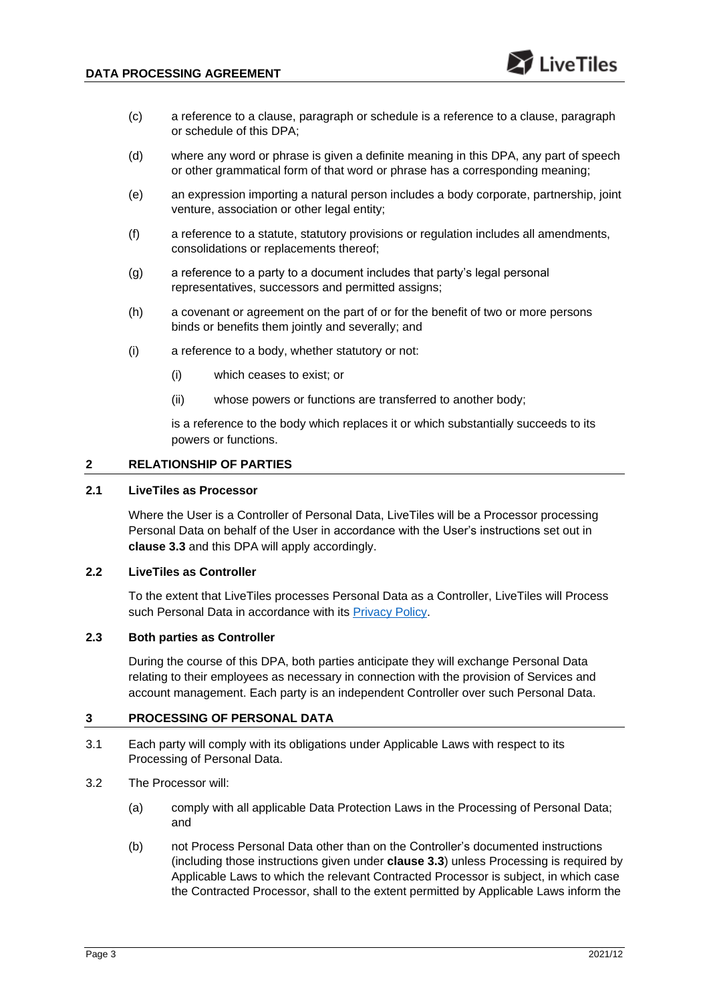- (c) a reference to a clause, paragraph or schedule is a reference to a clause, paragraph or schedule of this DPA;
- (d) where any word or phrase is given a definite meaning in this DPA, any part of speech or other grammatical form of that word or phrase has a corresponding meaning;
- (e) an expression importing a natural person includes a body corporate, partnership, joint venture, association or other legal entity;
- (f) a reference to a statute, statutory provisions or regulation includes all amendments, consolidations or replacements thereof;
- (g) a reference to a party to a document includes that party's legal personal representatives, successors and permitted assigns;
- (h) a covenant or agreement on the part of or for the benefit of two or more persons binds or benefits them jointly and severally; and
- (i) a reference to a body, whether statutory or not:
	- (i) which ceases to exist; or
	- (ii) whose powers or functions are transferred to another body;

is a reference to the body which replaces it or which substantially succeeds to its powers or functions.

## **2 RELATIONSHIP OF PARTIES**

## **2.1 LiveTiles as Processor**

Where the User is a Controller of Personal Data, LiveTiles will be a Processor processing Personal Data on behalf of the User in accordance with the User's instructions set out in **clause [3.3](#page-3-0)** and this DPA will apply accordingly.

## **2.2 LiveTiles as Controller**

To the extent that LiveTiles processes Personal Data as a Controller, LiveTiles will Process such Personal Data in accordance with its [Privacy Policy.](https://livetilesglobal.com/livetiles-privacy-policy/)

#### **2.3 Both parties as Controller**

During the course of this DPA, both parties anticipate they will exchange Personal Data relating to their employees as necessary in connection with the provision of Services and account management. Each party is an independent Controller over such Personal Data.

#### **3 PROCESSING OF PERSONAL DATA**

- 3.1 Each party will comply with its obligations under Applicable Laws with respect to its Processing of Personal Data.
- 3.2 The Processor will:
	- (a) comply with all applicable Data Protection Laws in the Processing of Personal Data; and
	- (b) not Process Personal Data other than on the Controller's documented instructions (including those instructions given under **clause [3.3](#page-3-0)**) unless Processing is required by Applicable Laws to which the relevant Contracted Processor is subject, in which case the Contracted Processor, shall to the extent permitted by Applicable Laws inform the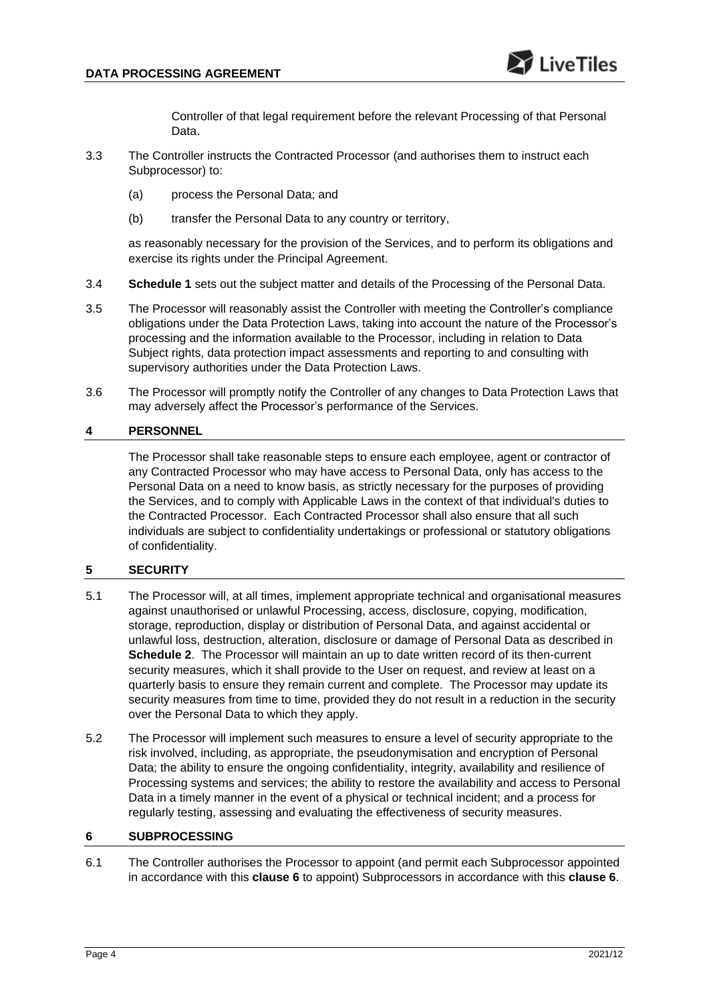Controller of that legal requirement before the relevant Processing of that Personal Data.

- <span id="page-3-0"></span>3.3 The Controller instructs the Contracted Processor (and authorises them to instruct each Subprocessor) to:
	- (a) process the Personal Data; and
	- (b) transfer the Personal Data to any country or territory,

as reasonably necessary for the provision of the Services, and to perform its obligations and exercise its rights under the Principal Agreement.

- 3.4 **Schedule 1** sets out the subject matter and details of the Processing of the Personal Data.
- 3.5 The Processor will reasonably assist the Controller with meeting the Controller's compliance obligations under the Data Protection Laws, taking into account the nature of the Processor's processing and the information available to the Processor, including in relation to Data Subject rights, data protection impact assessments and reporting to and consulting with supervisory authorities under the Data Protection Laws.
- 3.6 The Processor will promptly notify the Controller of any changes to Data Protection Laws that may adversely affect the Processor's performance of the Services.

## **4 PERSONNEL**

The Processor shall take reasonable steps to ensure each employee, agent or contractor of any Contracted Processor who may have access to Personal Data, only has access to the Personal Data on a need to know basis, as strictly necessary for the purposes of providing the Services, and to comply with Applicable Laws in the context of that individual's duties to the Contracted Processor. Each Contracted Processor shall also ensure that all such individuals are subject to confidentiality undertakings or professional or statutory obligations of confidentiality.

## **5 SECURITY**

- 5.1 The Processor will, at all times, implement appropriate technical and organisational measures against unauthorised or unlawful Processing, access, disclosure, copying, modification, storage, reproduction, display or distribution of Personal Data, and against accidental or unlawful loss, destruction, alteration, disclosure or damage of Personal Data as described in **Schedule 2**. The Processor will maintain an up to date written record of its then-current security measures, which it shall provide to the User on request, and review at least on a quarterly basis to ensure they remain current and complete. The Processor may update its security measures from time to time, provided they do not result in a reduction in the security over the Personal Data to which they apply.
- 5.2 The Processor will implement such measures to ensure a level of security appropriate to the risk involved, including, as appropriate, the pseudonymisation and encryption of Personal Data; the ability to ensure the ongoing confidentiality, integrity, availability and resilience of Processing systems and services; the ability to restore the availability and access to Personal Data in a timely manner in the event of a physical or technical incident; and a process for regularly testing, assessing and evaluating the effectiveness of security measures.

#### <span id="page-3-1"></span>**6 SUBPROCESSING**

6.1 The Controller authorises the Processor to appoint (and permit each Subprocessor appointed in accordance with this **clause [6](#page-3-1)** to appoint) Subprocessors in accordance with this **clause [6](#page-3-1)**.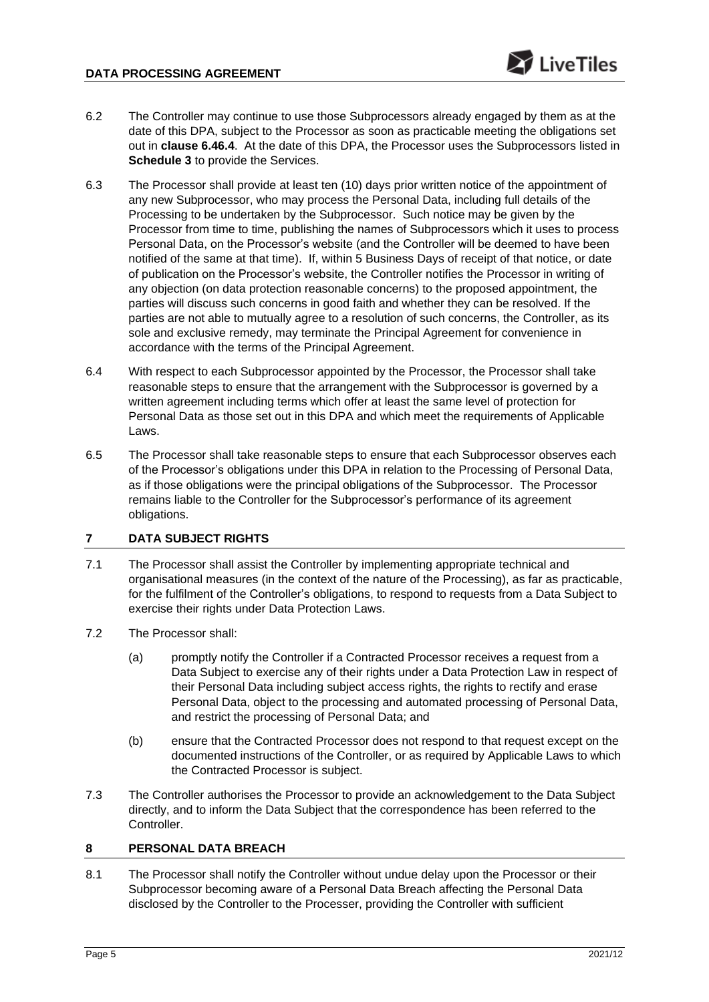- 6.2 The Controller may continue to use those Subprocessors already engaged by them as at the date of this DPA, subject to the Processor as soon as practicable meeting the obligations set out in **clause [6.4](#page-4-0)[6.4](#page-4-1)**. At the date of this DPA, the Processor uses the Subprocessors listed in **Schedule 3** to provide the Services.
- 6.3 The Processor shall provide at least ten (10) days prior written notice of the appointment of any new Subprocessor, who may process the Personal Data, including full details of the Processing to be undertaken by the Subprocessor. Such notice may be given by the Processor from time to time, publishing the names of Subprocessors which it uses to process Personal Data, on the Processor's website (and the Controller will be deemed to have been notified of the same at that time). If, within 5 Business Days of receipt of that notice, or date of publication on the Processor's website, the Controller notifies the Processor in writing of any objection (on data protection reasonable concerns) to the proposed appointment, the parties will discuss such concerns in good faith and whether they can be resolved. If the parties are not able to mutually agree to a resolution of such concerns, the Controller, as its sole and exclusive remedy, may terminate the Principal Agreement for convenience in accordance with the terms of the Principal Agreement.
- <span id="page-4-0"></span>6.4 With respect to each Subprocessor appointed by the Processor, the Processor shall take reasonable steps to ensure that the arrangement with the Subprocessor is governed by a written agreement including terms which offer at least the same level of protection for Personal Data as those set out in this DPA and which meet the requirements of Applicable Laws.
- <span id="page-4-1"></span>6.5 The Processor shall take reasonable steps to ensure that each Subprocessor observes each of the Processor's obligations under this DPA in relation to the Processing of Personal Data, as if those obligations were the principal obligations of the Subprocessor. The Processor remains liable to the Controller for the Subprocessor's performance of its agreement obligations.

# <span id="page-4-2"></span>**7 DATA SUBJECT RIGHTS**

- 7.1 The Processor shall assist the Controller by implementing appropriate technical and organisational measures (in the context of the nature of the Processing), as far as practicable, for the fulfilment of the Controller's obligations, to respond to requests from a Data Subject to exercise their rights under Data Protection Laws.
- 7.2 The Processor shall:
	- (a) promptly notify the Controller if a Contracted Processor receives a request from a Data Subject to exercise any of their rights under a Data Protection Law in respect of their Personal Data including subject access rights, the rights to rectify and erase Personal Data, object to the processing and automated processing of Personal Data, and restrict the processing of Personal Data; and
	- (b) ensure that the Contracted Processor does not respond to that request except on the documented instructions of the Controller, or as required by Applicable Laws to which the Contracted Processor is subject.
- 7.3 The Controller authorises the Processor to provide an acknowledgement to the Data Subject directly, and to inform the Data Subject that the correspondence has been referred to the Controller.

# <span id="page-4-3"></span>**8 PERSONAL DATA BREACH**

8.1 The Processor shall notify the Controller without undue delay upon the Processor or their Subprocessor becoming aware of a Personal Data Breach affecting the Personal Data disclosed by the Controller to the Processer, providing the Controller with sufficient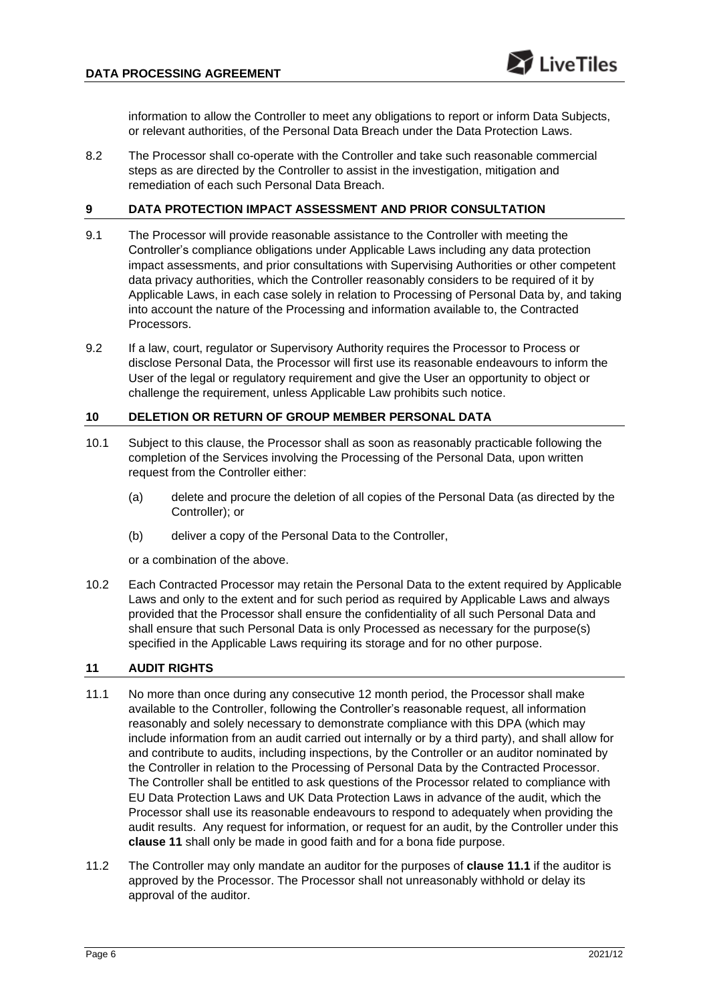information to allow the Controller to meet any obligations to report or inform Data Subjects, or relevant authorities, of the Personal Data Breach under the Data Protection Laws.

8.2 The Processor shall co-operate with the Controller and take such reasonable commercial steps as are directed by the Controller to assist in the investigation, mitigation and remediation of each such Personal Data Breach.

## **9 DATA PROTECTION IMPACT ASSESSMENT AND PRIOR CONSULTATION**

- 9.1 The Processor will provide reasonable assistance to the Controller with meeting the Controller's compliance obligations under Applicable Laws including any data protection impact assessments, and prior consultations with Supervising Authorities or other competent data privacy authorities, which the Controller reasonably considers to be required of it by Applicable Laws, in each case solely in relation to Processing of Personal Data by, and taking into account the nature of the Processing and information available to, the Contracted Processors.
- 9.2 If a law, court, regulator or Supervisory Authority requires the Processor to Process or disclose Personal Data, the Processor will first use its reasonable endeavours to inform the User of the legal or regulatory requirement and give the User an opportunity to object or challenge the requirement, unless Applicable Law prohibits such notice.

# <span id="page-5-2"></span>**10 DELETION OR RETURN OF GROUP MEMBER PERSONAL DATA**

- 10.1 Subject to this clause, the Processor shall as soon as reasonably practicable following the completion of the Services involving the Processing of the Personal Data, upon written request from the Controller either:
	- (a) delete and procure the deletion of all copies of the Personal Data (as directed by the Controller); or
	- (b) deliver a copy of the Personal Data to the Controller,

or a combination of the above.

10.2 Each Contracted Processor may retain the Personal Data to the extent required by Applicable Laws and only to the extent and for such period as required by Applicable Laws and always provided that the Processor shall ensure the confidentiality of all such Personal Data and shall ensure that such Personal Data is only Processed as necessary for the purpose(s) specified in the Applicable Laws requiring its storage and for no other purpose.

#### <span id="page-5-0"></span>**11 AUDIT RIGHTS**

- <span id="page-5-1"></span>11.1 No more than once during any consecutive 12 month period, the Processor shall make available to the Controller, following the Controller's reasonable request, all information reasonably and solely necessary to demonstrate compliance with this DPA (which may include information from an audit carried out internally or by a third party), and shall allow for and contribute to audits, including inspections, by the Controller or an auditor nominated by the Controller in relation to the Processing of Personal Data by the Contracted Processor. The Controller shall be entitled to ask questions of the Processor related to compliance with EU Data Protection Laws and UK Data Protection Laws in advance of the audit, which the Processor shall use its reasonable endeavours to respond to adequately when providing the audit results. Any request for information, or request for an audit, by the Controller under this **clause [11](#page-5-0)** shall only be made in good faith and for a bona fide purpose.
- 11.2 The Controller may only mandate an auditor for the purposes of **clause [11.1](#page-5-1)** if the auditor is approved by the Processor. The Processor shall not unreasonably withhold or delay its approval of the auditor.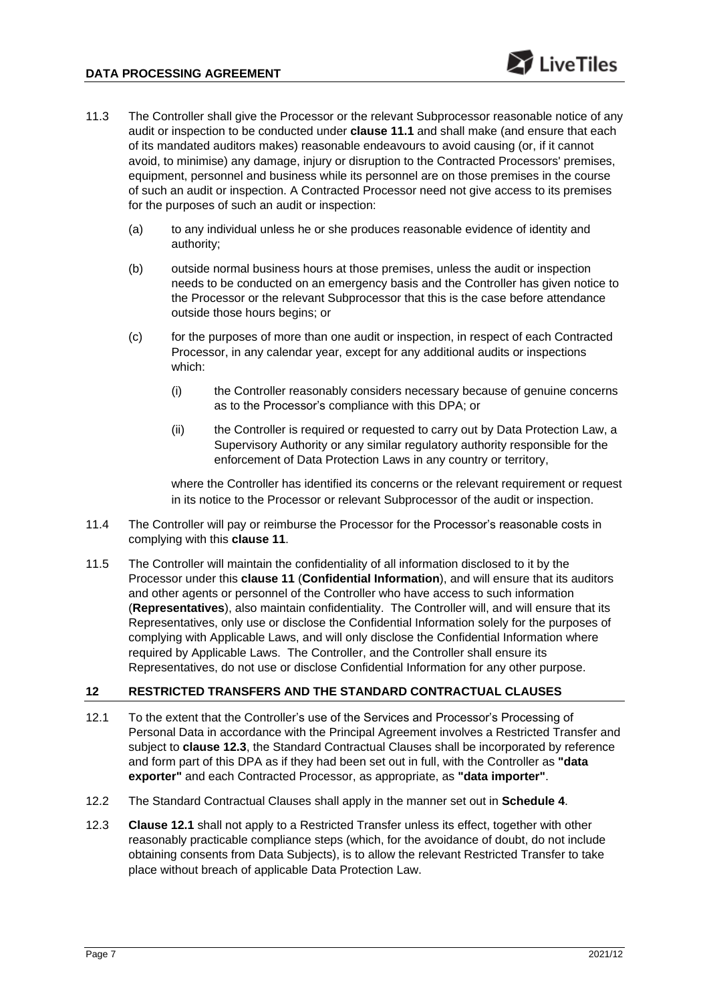- 11.3 The Controller shall give the Processor or the relevant Subprocessor reasonable notice of any audit or inspection to be conducted under **clause [11.1](#page-5-1)** and shall make (and ensure that each of its mandated auditors makes) reasonable endeavours to avoid causing (or, if it cannot avoid, to minimise) any damage, injury or disruption to the Contracted Processors' premises, equipment, personnel and business while its personnel are on those premises in the course of such an audit or inspection. A Contracted Processor need not give access to its premises for the purposes of such an audit or inspection:
	- (a) to any individual unless he or she produces reasonable evidence of identity and authority;
	- (b) outside normal business hours at those premises, unless the audit or inspection needs to be conducted on an emergency basis and the Controller has given notice to the Processor or the relevant Subprocessor that this is the case before attendance outside those hours begins; or
	- (c) for the purposes of more than one audit or inspection, in respect of each Contracted Processor, in any calendar year, except for any additional audits or inspections which:
		- (i) the Controller reasonably considers necessary because of genuine concerns as to the Processor's compliance with this DPA; or
		- (ii) the Controller is required or requested to carry out by Data Protection Law, a Supervisory Authority or any similar regulatory authority responsible for the enforcement of Data Protection Laws in any country or territory,

where the Controller has identified its concerns or the relevant requirement or request in its notice to the Processor or relevant Subprocessor of the audit or inspection.

- 11.4 The Controller will pay or reimburse the Processor for the Processor's reasonable costs in complying with this **clause [11](#page-5-0)**.
- 11.5 The Controller will maintain the confidentiality of all information disclosed to it by the Processor under this **clause [11](#page-5-0)** (**Confidential Information**), and will ensure that its auditors and other agents or personnel of the Controller who have access to such information (**Representatives**), also maintain confidentiality. The Controller will, and will ensure that its Representatives, only use or disclose the Confidential Information solely for the purposes of complying with Applicable Laws, and will only disclose the Confidential Information where required by Applicable Laws. The Controller, and the Controller shall ensure its Representatives, do not use or disclose Confidential Information for any other purpose.

# <span id="page-6-2"></span>**12 RESTRICTED TRANSFERS AND THE STANDARD CONTRACTUAL CLAUSES**

- <span id="page-6-1"></span>12.1 To the extent that the Controller's use of the Services and Processor's Processing of Personal Data in accordance with the Principal Agreement involves a Restricted Transfer and subject to **clause [12.3](#page-6-0)**, the Standard Contractual Clauses shall be incorporated by reference and form part of this DPA as if they had been set out in full, with the Controller as **"data exporter"** and each Contracted Processor, as appropriate, as **"data importer"**.
- 12.2 The Standard Contractual Clauses shall apply in the manner set out in **Schedule 4**.
- <span id="page-6-0"></span>12.3 **Clause [12.1](#page-6-1)** shall not apply to a Restricted Transfer unless its effect, together with other reasonably practicable compliance steps (which, for the avoidance of doubt, do not include obtaining consents from Data Subjects), is to allow the relevant Restricted Transfer to take place without breach of applicable Data Protection Law.

 $\geq$  Live Tiles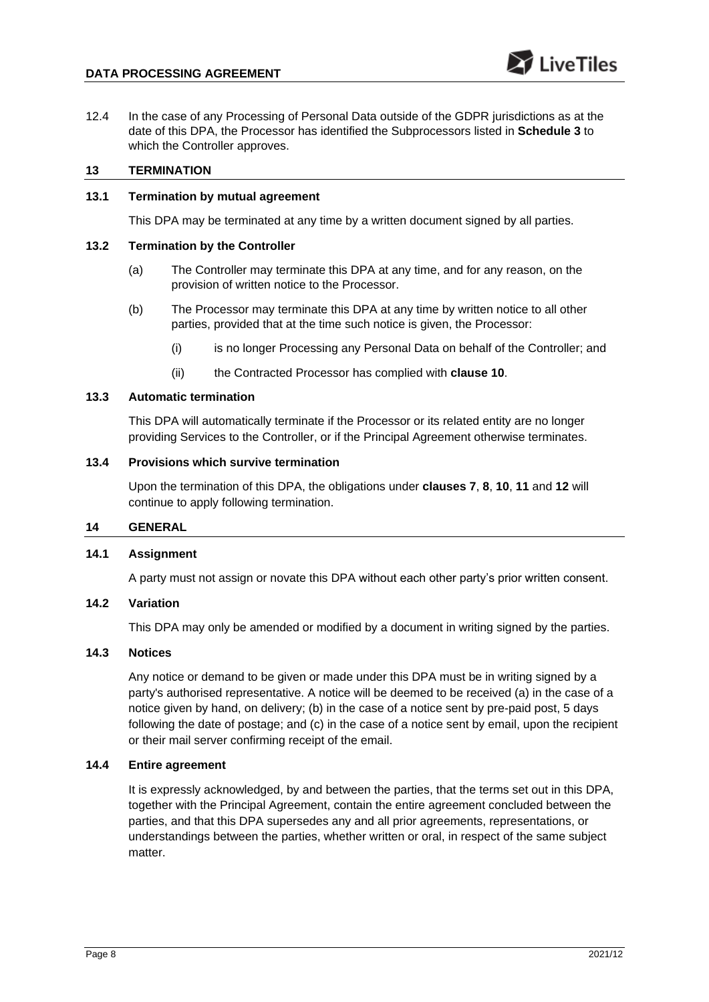12.4 In the case of any Processing of Personal Data outside of the GDPR jurisdictions as at the date of this DPA, the Processor has identified the Subprocessors listed in **Schedule 3** to which the Controller approves.

#### **13 TERMINATION**

## **13.1 Termination by mutual agreement**

This DPA may be terminated at any time by a written document signed by all parties.

#### **13.2 Termination by the Controller**

- (a) The Controller may terminate this DPA at any time, and for any reason, on the provision of written notice to the Processor.
- (b) The Processor may terminate this DPA at any time by written notice to all other parties, provided that at the time such notice is given, the Processor:
	- (i) is no longer Processing any Personal Data on behalf of the Controller; and
	- (ii) the Contracted Processor has complied with **clause [10](#page-5-2)**.

## **13.3 Automatic termination**

This DPA will automatically terminate if the Processor or its related entity are no longer providing Services to the Controller, or if the Principal Agreement otherwise terminates.

## **13.4 Provisions which survive termination**

Upon the termination of this DPA, the obligations under **clauses [7](#page-4-2)**, **[8](#page-4-3)**, **[10](#page-5-2)**, **[11](#page-5-0)** and **[12](#page-6-2)** will continue to apply following termination.

# **14 GENERAL**

# **14.1 Assignment**

A party must not assign or novate this DPA without each other party's prior written consent.

#### **14.2 Variation**

This DPA may only be amended or modified by a document in writing signed by the parties.

# **14.3 Notices**

Any notice or demand to be given or made under this DPA must be in writing signed by a party's authorised representative. A notice will be deemed to be received (a) in the case of a notice given by hand, on delivery; (b) in the case of a notice sent by pre-paid post, 5 days following the date of postage; and (c) in the case of a notice sent by email, upon the recipient or their mail server confirming receipt of the email.

#### **14.4 Entire agreement**

It is expressly acknowledged, by and between the parties, that the terms set out in this DPA, together with the Principal Agreement, contain the entire agreement concluded between the parties, and that this DPA supersedes any and all prior agreements, representations, or understandings between the parties, whether written or oral, in respect of the same subject matter.

 $\sum$  Live Tiles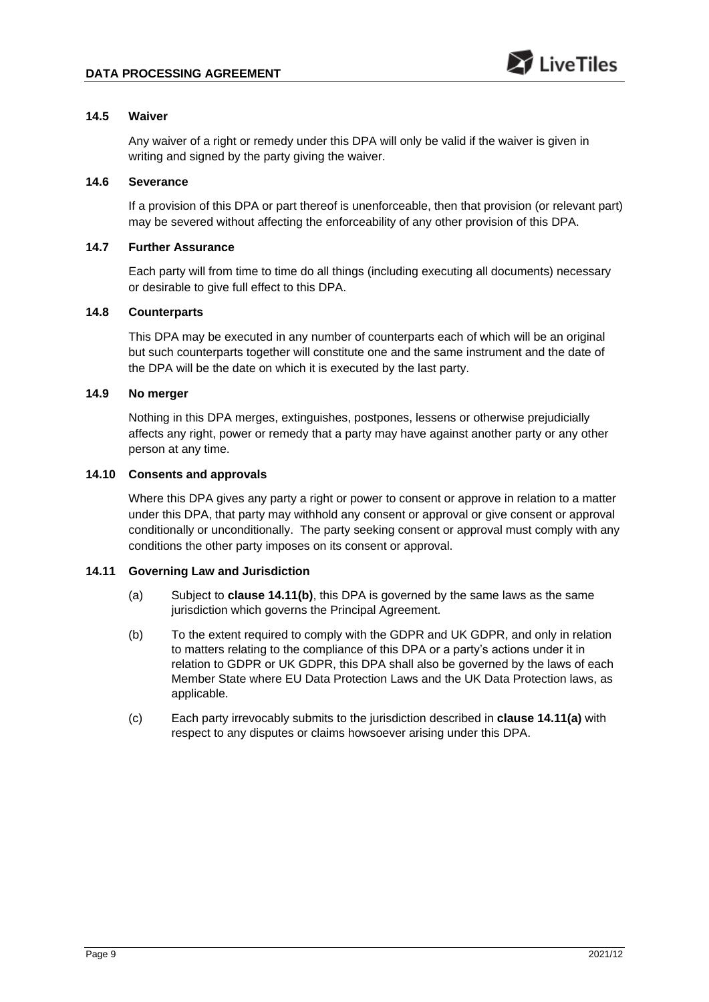## **14.5 Waiver**

Any waiver of a right or remedy under this DPA will only be valid if the waiver is given in writing and signed by the party giving the waiver.

## **14.6 Severance**

If a provision of this DPA or part thereof is unenforceable, then that provision (or relevant part) may be severed without affecting the enforceability of any other provision of this DPA.

## **14.7 Further Assurance**

Each party will from time to time do all things (including executing all documents) necessary or desirable to give full effect to this DPA.

# **14.8 Counterparts**

This DPA may be executed in any number of counterparts each of which will be an original but such counterparts together will constitute one and the same instrument and the date of the DPA will be the date on which it is executed by the last party.

# **14.9 No merger**

Nothing in this DPA merges, extinguishes, postpones, lessens or otherwise prejudicially affects any right, power or remedy that a party may have against another party or any other person at any time.

#### **14.10 Consents and approvals**

Where this DPA gives any party a right or power to consent or approve in relation to a matter under this DPA, that party may withhold any consent or approval or give consent or approval conditionally or unconditionally. The party seeking consent or approval must comply with any conditions the other party imposes on its consent or approval.

# <span id="page-8-1"></span>**14.11 Governing Law and Jurisdiction**

- (a) Subject to **clause [14.11\(b\)](#page-8-0)**, this DPA is governed by the same laws as the same jurisdiction which governs the Principal Agreement.
- <span id="page-8-0"></span>(b) To the extent required to comply with the GDPR and UK GDPR, and only in relation to matters relating to the compliance of this DPA or a party's actions under it in relation to GDPR or UK GDPR, this DPA shall also be governed by the laws of each Member State where EU Data Protection Laws and the UK Data Protection laws, as applicable.
- (c) Each party irrevocably submits to the jurisdiction described in **clause [14.11\(a\)](#page-8-1)** with respect to any disputes or claims howsoever arising under this DPA.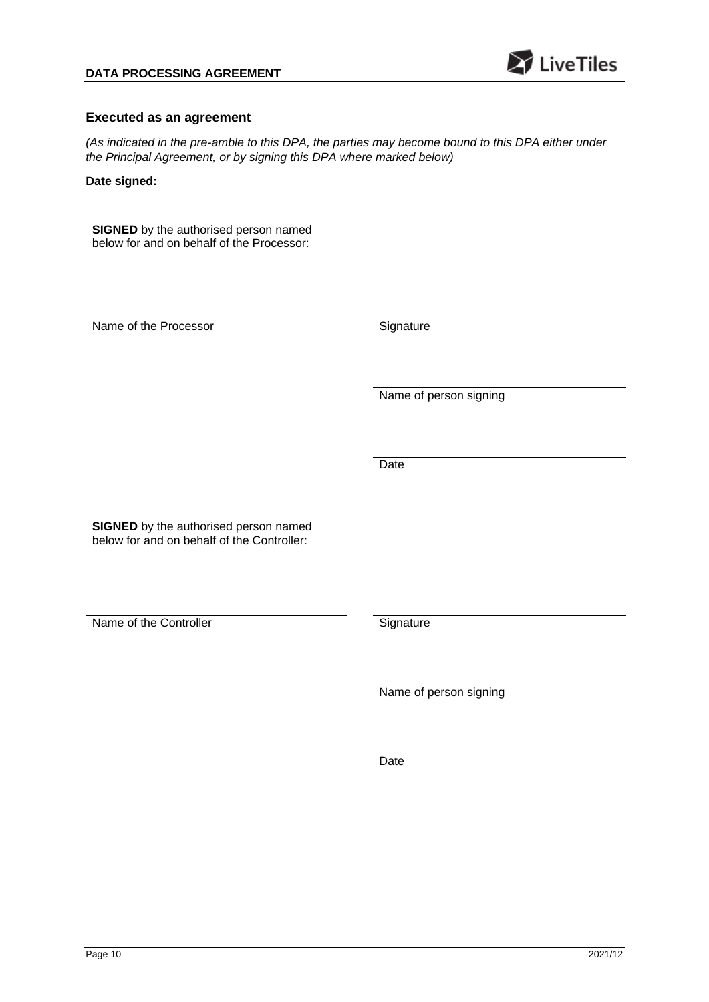

## **Executed as an agreement**

*(As indicated in the pre-amble to this DPA, the parties may become bound to this DPA either under the Principal Agreement, or by signing this DPA where marked below)*

**Date signed:** 

**SIGNED** by the authorised person named below for and on behalf of the Processor:

Name of the Processor Signature

Name of person signing

**Date** 

**SIGNED** by the authorised person named below for and on behalf of the Controller:

Name of the Controller Signature

Name of person signing

Date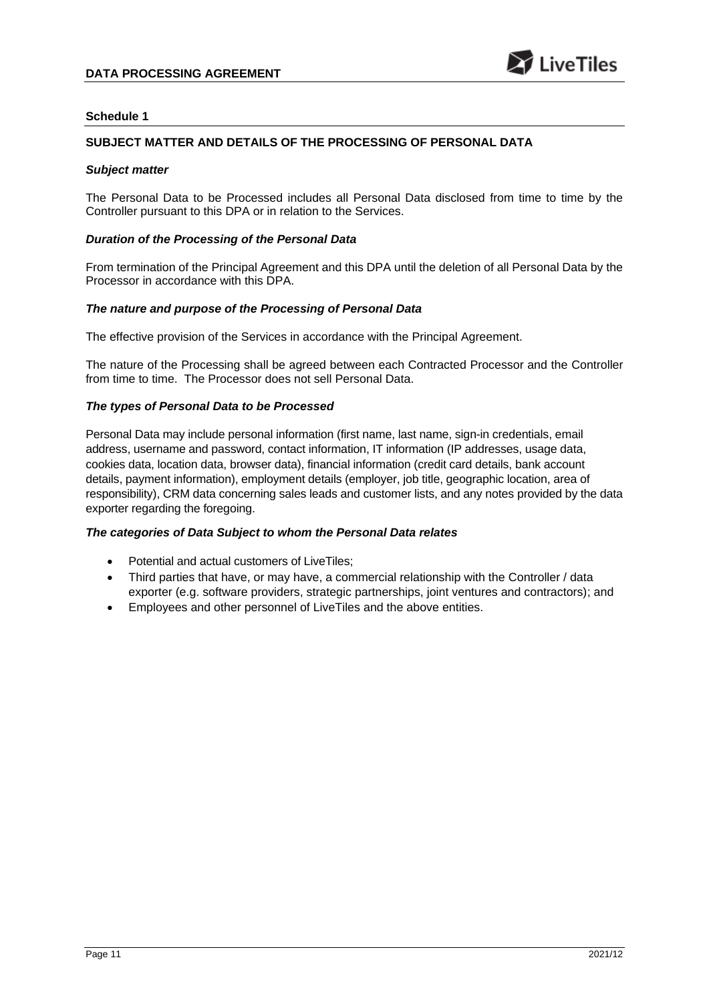## **SUBJECT MATTER AND DETAILS OF THE PROCESSING OF PERSONAL DATA**

#### *Subject matter*

The Personal Data to be Processed includes all Personal Data disclosed from time to time by the Controller pursuant to this DPA or in relation to the Services.

#### *Duration of the Processing of the Personal Data*

From termination of the Principal Agreement and this DPA until the deletion of all Personal Data by the Processor in accordance with this DPA.

#### *The nature and purpose of the Processing of Personal Data*

The effective provision of the Services in accordance with the Principal Agreement.

The nature of the Processing shall be agreed between each Contracted Processor and the Controller from time to time. The Processor does not sell Personal Data.

#### *The types of Personal Data to be Processed*

Personal Data may include personal information (first name, last name, sign-in credentials, email address, username and password, contact information, IT information (IP addresses, usage data, cookies data, location data, browser data), financial information (credit card details, bank account details, payment information), employment details (employer, job title, geographic location, area of responsibility), CRM data concerning sales leads and customer lists, and any notes provided by the data exporter regarding the foregoing.

#### *The categories of Data Subject to whom the Personal Data relates*

- Potential and actual customers of LiveTiles;
- Third parties that have, or may have, a commercial relationship with the Controller / data exporter (e.g. software providers, strategic partnerships, joint ventures and contractors); and
- Employees and other personnel of LiveTiles and the above entities.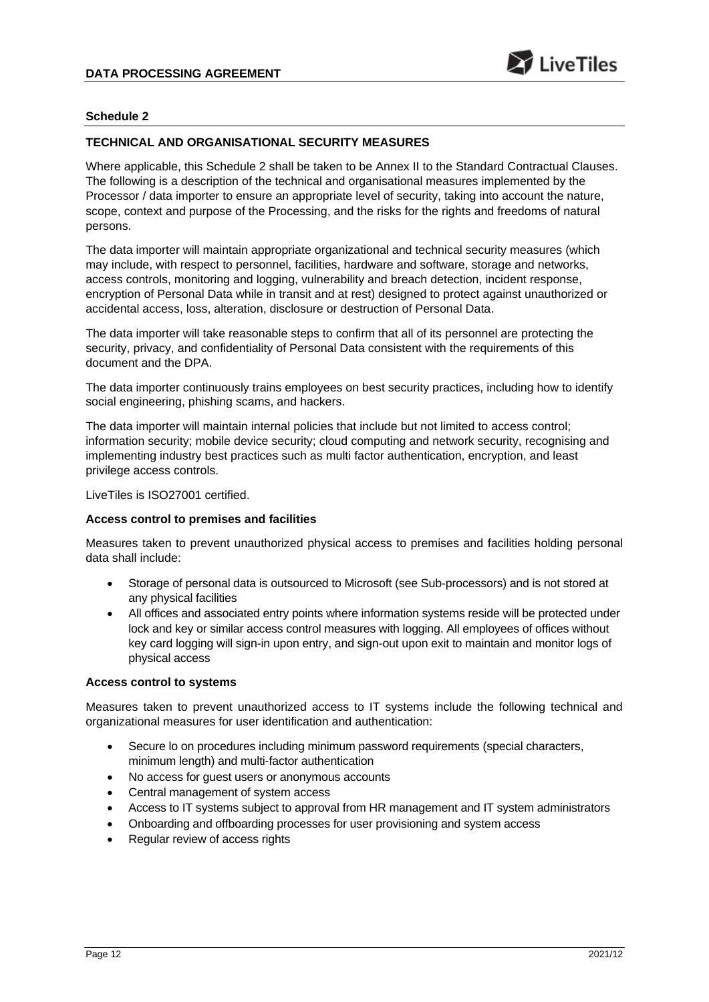## **TECHNICAL AND ORGANISATIONAL SECURITY MEASURES**

Where applicable, this Schedule 2 shall be taken to be Annex II to the Standard Contractual Clauses. The following is a description of the technical and organisational measures implemented by the Processor / data importer to ensure an appropriate level of security, taking into account the nature, scope, context and purpose of the Processing, and the risks for the rights and freedoms of natural persons.

The data importer will maintain appropriate organizational and technical security measures (which may include, with respect to personnel, facilities, hardware and software, storage and networks, access controls, monitoring and logging, vulnerability and breach detection, incident response, encryption of Personal Data while in transit and at rest) designed to protect against unauthorized or accidental access, loss, alteration, disclosure or destruction of Personal Data.

The data importer will take reasonable steps to confirm that all of its personnel are protecting the security, privacy, and confidentiality of Personal Data consistent with the requirements of this document and the DPA.

The data importer continuously trains employees on best security practices, including how to identify social engineering, phishing scams, and hackers.

The data importer will maintain internal policies that include but not limited to access control; information security; mobile device security; cloud computing and network security, recognising and implementing industry best practices such as multi factor authentication, encryption, and least privilege access controls.

LiveTiles is ISO27001 certified.

#### **Access control to premises and facilities**

Measures taken to prevent unauthorized physical access to premises and facilities holding personal data shall include:

- Storage of personal data is outsourced to Microsoft (see Sub-processors) and is not stored at any physical facilities
- All offices and associated entry points where information systems reside will be protected under lock and key or similar access control measures with logging. All employees of offices without key card logging will sign-in upon entry, and sign-out upon exit to maintain and monitor logs of physical access

#### **Access control to systems**

Measures taken to prevent unauthorized access to IT systems include the following technical and organizational measures for user identification and authentication:

- Secure lo on procedures including minimum password requirements (special characters, minimum length) and multi-factor authentication
- No access for guest users or anonymous accounts
- Central management of system access
- Access to IT systems subject to approval from HR management and IT system administrators
- Onboarding and offboarding processes for user provisioning and system access
- Regular review of access rights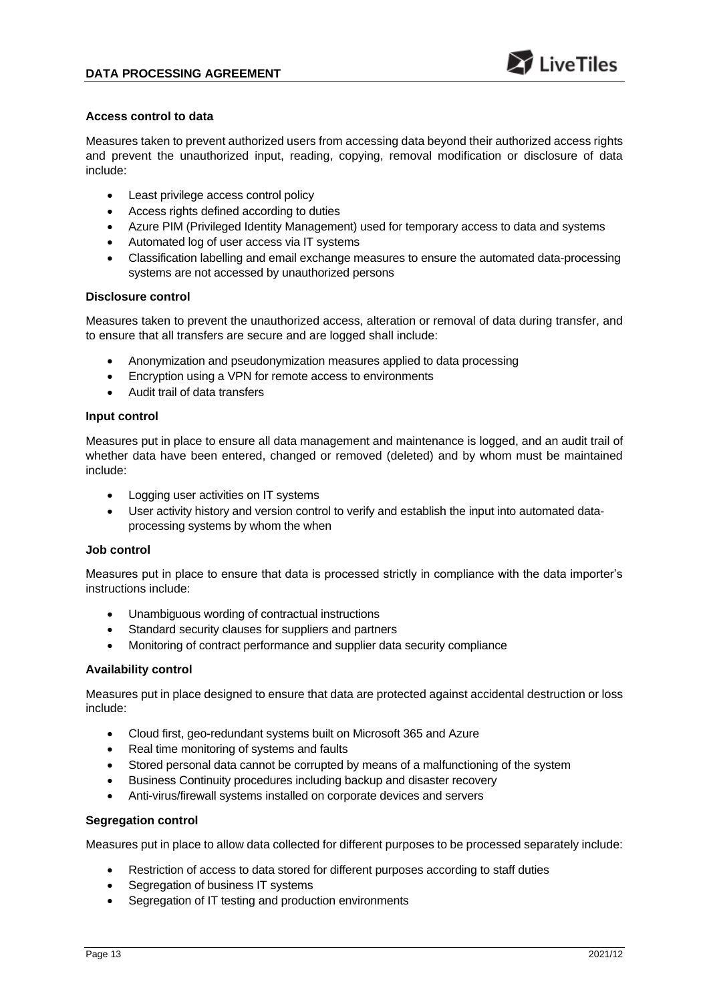#### **Access control to data**

Measures taken to prevent authorized users from accessing data beyond their authorized access rights and prevent the unauthorized input, reading, copying, removal modification or disclosure of data include:

- Least privilege access control policy
- Access rights defined according to duties
- Azure PIM (Privileged Identity Management) used for temporary access to data and systems
- Automated log of user access via IT systems
- Classification labelling and email exchange measures to ensure the automated data-processing systems are not accessed by unauthorized persons

#### **Disclosure control**

Measures taken to prevent the unauthorized access, alteration or removal of data during transfer, and to ensure that all transfers are secure and are logged shall include:

- Anonymization and pseudonymization measures applied to data processing
- Encryption using a VPN for remote access to environments
- Audit trail of data transfers

## **Input control**

Measures put in place to ensure all data management and maintenance is logged, and an audit trail of whether data have been entered, changed or removed (deleted) and by whom must be maintained include:

- Logging user activities on IT systems
- User activity history and version control to verify and establish the input into automated dataprocessing systems by whom the when

#### **Job control**

Measures put in place to ensure that data is processed strictly in compliance with the data importer's instructions include:

- Unambiguous wording of contractual instructions
- Standard security clauses for suppliers and partners
- Monitoring of contract performance and supplier data security compliance

#### **Availability control**

Measures put in place designed to ensure that data are protected against accidental destruction or loss include:

- Cloud first, geo-redundant systems built on Microsoft 365 and Azure
- Real time monitoring of systems and faults
- Stored personal data cannot be corrupted by means of a malfunctioning of the system
- Business Continuity procedures including backup and disaster recovery
- Anti-virus/firewall systems installed on corporate devices and servers

#### **Segregation control**

Measures put in place to allow data collected for different purposes to be processed separately include:

- Restriction of access to data stored for different purposes according to staff duties
- Segregation of business IT systems
- Segregation of IT testing and production environments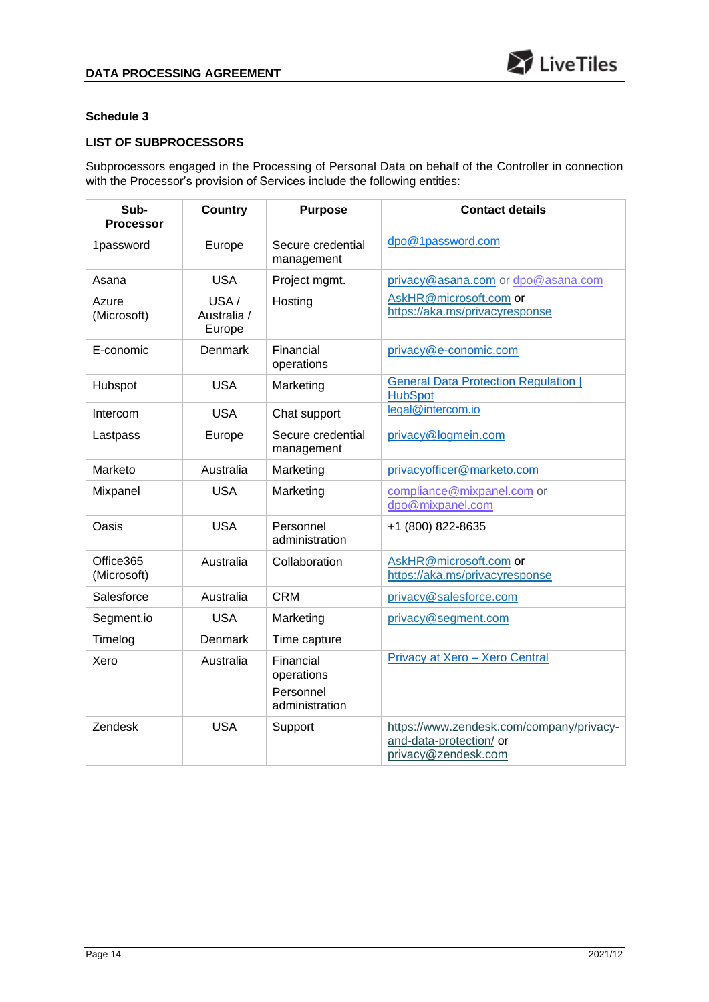# **LIST OF SUBPROCESSORS**

Subprocessors engaged in the Processing of Personal Data on behalf of the Controller in connection with the Processor's provision of Services include the following entities:

| Sub-<br><b>Processor</b> | <b>Country</b>                | <b>Purpose</b>                                         | <b>Contact details</b>                                                                     |
|--------------------------|-------------------------------|--------------------------------------------------------|--------------------------------------------------------------------------------------------|
| 1password                | Europe                        | Secure credential<br>management                        | dpo@1password.com                                                                          |
| Asana                    | <b>USA</b>                    | Project mgmt.                                          | privacy@asana.com or dpo@asana.com                                                         |
| Azure<br>(Microsoft)     | USA/<br>Australia /<br>Europe | Hosting                                                | AskHR@microsoft.com or<br>https://aka.ms/privacyresponse                                   |
| E-conomic                | <b>Denmark</b>                | Financial<br>operations                                | privacy@e-conomic.com                                                                      |
| Hubspot                  | <b>USA</b>                    | Marketing                                              | <b>General Data Protection Regulation  </b><br><b>HubSpot</b>                              |
| Intercom                 | <b>USA</b>                    | Chat support                                           | legal@intercom.io                                                                          |
| Lastpass                 | Europe                        | Secure credential<br>management                        | privacy@logmein.com                                                                        |
| Marketo                  | Australia                     | Marketing                                              | privacyofficer@marketo.com                                                                 |
| Mixpanel                 | <b>USA</b>                    | Marketing                                              | compliance@mixpanel.com or<br>dpo@mixpanel.com                                             |
| Oasis                    | <b>USA</b>                    | Personnel<br>administration                            | +1 (800) 822-8635                                                                          |
| Office365<br>(Microsoft) | Australia                     | Collaboration                                          | AskHR@microsoft.com or<br>https://aka.ms/privacyresponse                                   |
| Salesforce               | Australia                     | <b>CRM</b>                                             | privacy@salesforce.com                                                                     |
| Segment.io               | <b>USA</b>                    | Marketing                                              | privacy@segment.com                                                                        |
| Timelog                  | Denmark                       | Time capture                                           |                                                                                            |
| Xero                     | Australia                     | Financial<br>operations<br>Personnel<br>administration | Privacy at Xero - Xero Central                                                             |
| Zendesk                  | <b>USA</b>                    | Support                                                | https://www.zendesk.com/company/privacy-<br>and-data-protection/ or<br>privacy@zendesk.com |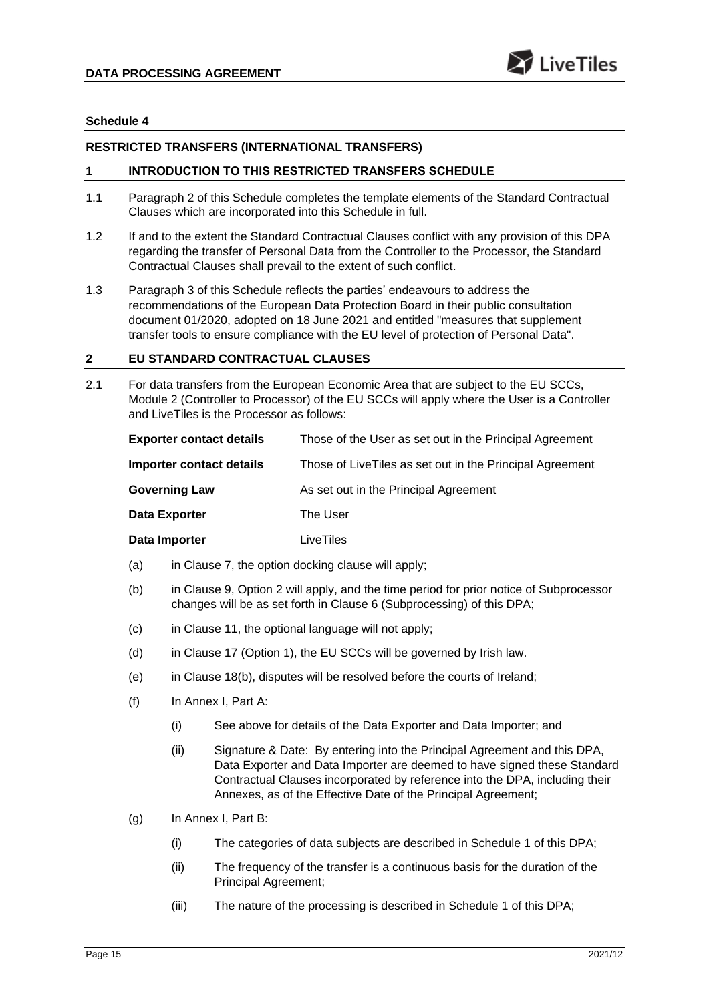## **RESTRICTED TRANSFERS (INTERNATIONAL TRANSFERS)**

## **1 INTRODUCTION TO THIS RESTRICTED TRANSFERS SCHEDULE**

- 1.1 Paragraph 2 of this Schedule completes the template elements of the Standard Contractual Clauses which are incorporated into this Schedule in full.
- 1.2 If and to the extent the Standard Contractual Clauses conflict with any provision of this DPA regarding the transfer of Personal Data from the Controller to the Processor, the Standard Contractual Clauses shall prevail to the extent of such conflict.
- 1.3 Paragraph 3 of this Schedule reflects the parties' endeavours to address the recommendations of the European Data Protection Board in their public consultation document 01/2020, adopted on 18 June 2021 and entitled "measures that supplement transfer tools to ensure compliance with the EU level of protection of Personal Data".

## **2 EU STANDARD CONTRACTUAL CLAUSES**

2.1 For data transfers from the European Economic Area that are subject to the EU SCCs, Module 2 (Controller to Processor) of the EU SCCs will apply where the User is a Controller and LiveTiles is the Processor as follows:

| <b>Exporter contact details</b> | Those of the User as set out in the Principal Agreement  |
|---------------------------------|----------------------------------------------------------|
| Importer contact details        | Those of LiveTiles as set out in the Principal Agreement |
| <b>Governing Law</b>            | As set out in the Principal Agreement                    |
| <b>Data Exporter</b>            | The User                                                 |
| Data Importer                   | LiveTiles                                                |

- (a) in Clause 7, the option docking clause will apply;
- (b) in Clause 9, Option 2 will apply, and the time period for prior notice of Subprocessor changes will be as set forth in Clause [6](#page-3-1) (Subprocessing) of this DPA;
- (c) in Clause 11, the optional language will not apply;
- (d) in Clause 17 (Option 1), the EU SCCs will be governed by Irish law.
- (e) in Clause 18(b), disputes will be resolved before the courts of Ireland;
- (f) In Annex I, Part A:
	- (i) See above for details of the Data Exporter and Data Importer; and
	- (ii) Signature & Date: By entering into the Principal Agreement and this DPA, Data Exporter and Data Importer are deemed to have signed these Standard Contractual Clauses incorporated by reference into the DPA, including their Annexes, as of the Effective Date of the Principal Agreement;
- (g) In Annex I, Part B:
	- (i) The categories of data subjects are described in Schedule 1 of this DPA;
	- (ii) The frequency of the transfer is a continuous basis for the duration of the Principal Agreement;
	- (iii) The nature of the processing is described in Schedule 1 of this DPA;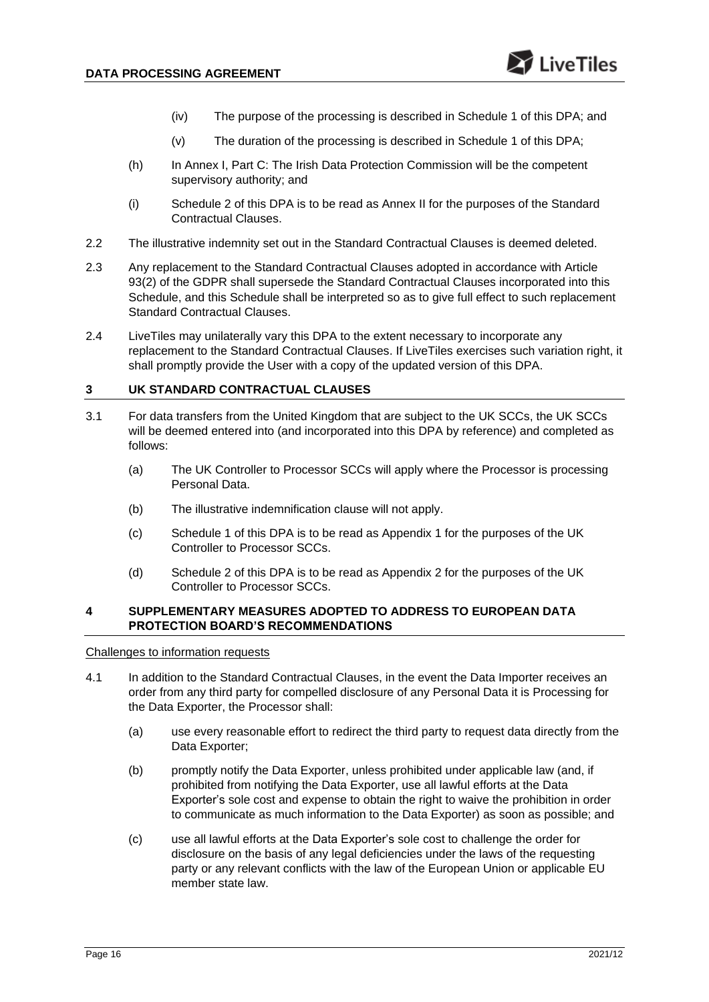- (iv) The purpose of the processing is described in Schedule 1 of this DPA; and
- (v) The duration of the processing is described in Schedule 1 of this DPA;
- (h) In Annex I, Part C: The Irish Data Protection Commission will be the competent supervisory authority; and
- (i) Schedule 2 of this DPA is to be read as Annex II for the purposes of the Standard Contractual Clauses.
- 2.2 The illustrative indemnity set out in the Standard Contractual Clauses is deemed deleted.
- 2.3 Any replacement to the Standard Contractual Clauses adopted in accordance with Article 93(2) of the GDPR shall supersede the Standard Contractual Clauses incorporated into this Schedule, and this Schedule shall be interpreted so as to give full effect to such replacement Standard Contractual Clauses.
- 2.4 LiveTiles may unilaterally vary this DPA to the extent necessary to incorporate any replacement to the Standard Contractual Clauses. If LiveTiles exercises such variation right, it shall promptly provide the User with a copy of the updated version of this DPA.

## **3 UK STANDARD CONTRACTUAL CLAUSES**

- 3.1 For data transfers from the United Kingdom that are subject to the UK SCCs, the UK SCCs will be deemed entered into (and incorporated into this DPA by reference) and completed as follows:
	- (a) The UK Controller to Processor SCCs will apply where the Processor is processing Personal Data.
	- (b) The illustrative indemnification clause will not apply.
	- (c) Schedule 1 of this DPA is to be read as Appendix 1 for the purposes of the UK Controller to Processor SCCs.
	- (d) Schedule 2 of this DPA is to be read as Appendix 2 for the purposes of the UK Controller to Processor SCCs.

#### **4 SUPPLEMENTARY MEASURES ADOPTED TO ADDRESS TO EUROPEAN DATA PROTECTION BOARD'S RECOMMENDATIONS**

Challenges to information requests

- <span id="page-15-0"></span>4.1 In addition to the Standard Contractual Clauses, in the event the Data Importer receives an order from any third party for compelled disclosure of any Personal Data it is Processing for the Data Exporter, the Processor shall:
	- (a) use every reasonable effort to redirect the third party to request data directly from the Data Exporter;
	- (b) promptly notify the Data Exporter, unless prohibited under applicable law (and, if prohibited from notifying the Data Exporter, use all lawful efforts at the Data Exporter's sole cost and expense to obtain the right to waive the prohibition in order to communicate as much information to the Data Exporter) as soon as possible; and
	- (c) use all lawful efforts at the Data Exporter's sole cost to challenge the order for disclosure on the basis of any legal deficiencies under the laws of the requesting party or any relevant conflicts with the law of the European Union or applicable EU member state law.